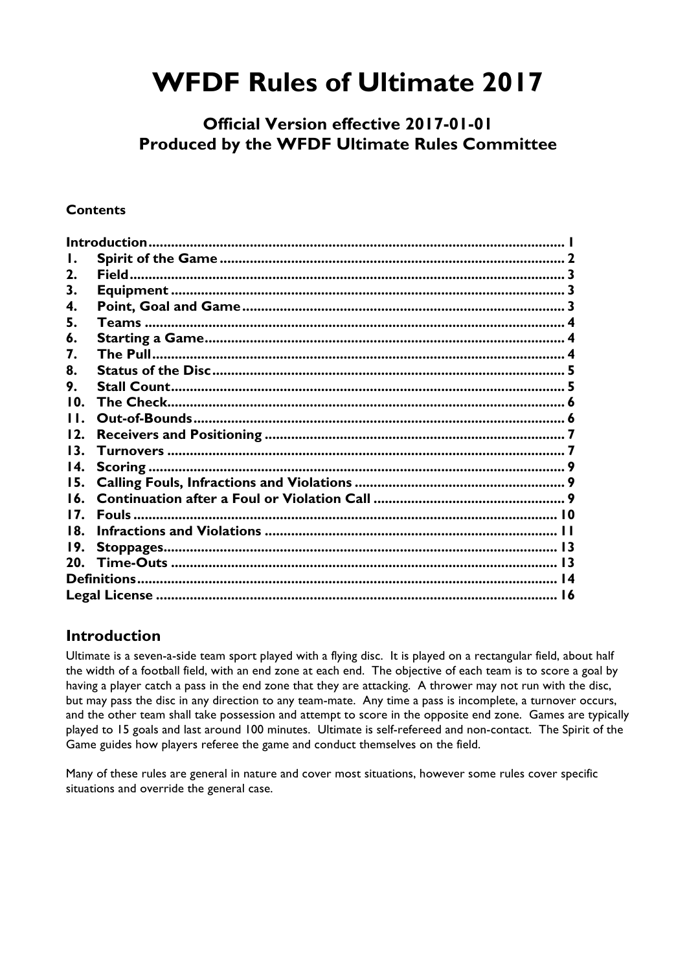# **WFDF Rules of Ultimate 2017**

# **Official Version effective 2017-01-01 Produced by the WFDF Ultimate Rules Committee**

#### **Contents**

| Ι.  |  |  |  |  |
|-----|--|--|--|--|
| 2.  |  |  |  |  |
| 3.  |  |  |  |  |
| 4.  |  |  |  |  |
| 5.  |  |  |  |  |
| 6.  |  |  |  |  |
| 7.  |  |  |  |  |
| 8.  |  |  |  |  |
| 9.  |  |  |  |  |
| 10. |  |  |  |  |
| 11. |  |  |  |  |
| 12. |  |  |  |  |
| 13. |  |  |  |  |
| 14. |  |  |  |  |
| 15. |  |  |  |  |
| 16. |  |  |  |  |
| 17. |  |  |  |  |
| 18. |  |  |  |  |
| 19. |  |  |  |  |
|     |  |  |  |  |
|     |  |  |  |  |
|     |  |  |  |  |

# **Introduction**

Ultimate is a seven-a-side team sport played with a flying disc. It is played on a rectangular field, about half the width of a football field, with an end zone at each end. The objective of each team is to score a goal by having a player catch a pass in the end zone that they are attacking. A thrower may not run with the disc, but may pass the disc in any direction to any team-mate. Any time a pass is incomplete, a turnover occurs, and the other team shall take possession and attempt to score in the opposite end zone. Games are typically played to 15 goals and last around 100 minutes. Ultimate is self-refereed and non-contact. The Spirit of the Game guides how players referee the game and conduct themselves on the field.

Many of these rules are general in nature and cover most situations, however some rules cover specific situations and override the general case.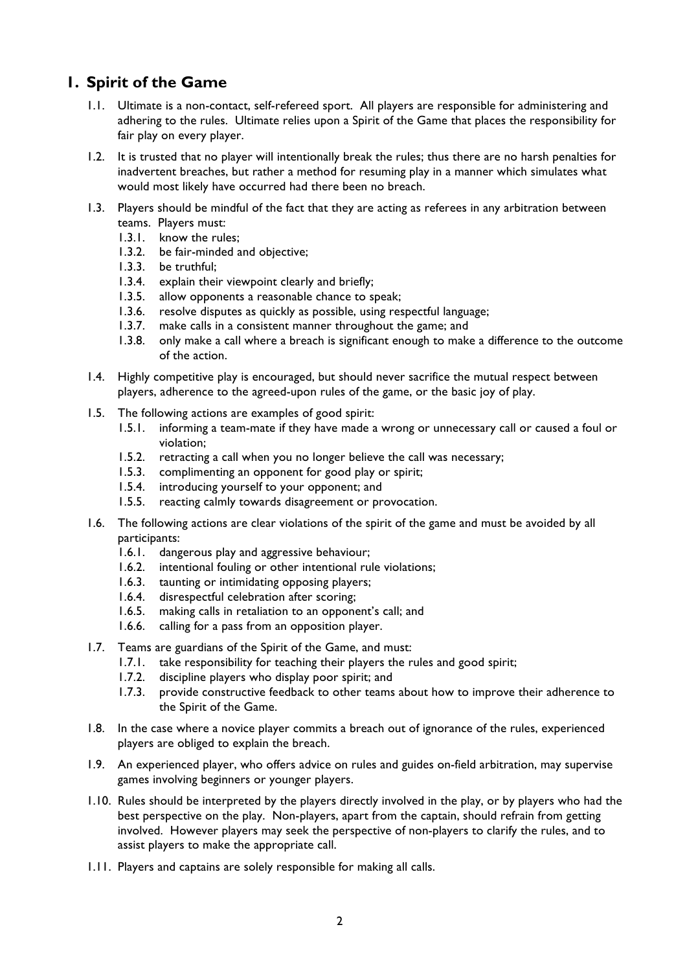# **1. Spirit of the Game**

- 1.1. Ultimate is a non-contact, self-refereed sport. All players are responsible for administering and adhering to the rules. Ultimate relies upon a Spirit of the Game that places the responsibility for fair play on every player.
- 1.2. It is trusted that no player will intentionally break the rules; thus there are no harsh penalties for inadvertent breaches, but rather a method for resuming play in a manner which simulates what would most likely have occurred had there been no breach.
- 1.3. Players should be mindful of the fact that they are acting as referees in any arbitration between teams. Players must:
	- 1.3.1. know the rules:
	- 1.3.2. be fair-minded and objective;
	- 1.3.3. be truthful;
	- 1.3.4. explain their viewpoint clearly and briefly;
	- 1.3.5. allow opponents a reasonable chance to speak;
	- 1.3.6. resolve disputes as quickly as possible, using respectful language;
	- 1.3.7. make calls in a consistent manner throughout the game; and
	- 1.3.8. only make a call where a breach is significant enough to make a difference to the outcome of the action.
- 1.4. Highly competitive play is encouraged, but should never sacrifice the mutual respect between players, adherence to the agreed-upon rules of the game, or the basic joy of play.
- 1.5. The following actions are examples of good spirit:
	- 1.5.1. informing a team-mate if they have made a wrong or unnecessary call or caused a foul or violation;
	- 1.5.2. retracting a call when you no longer believe the call was necessary;
	- 1.5.3. complimenting an opponent for good play or spirit;
	- 1.5.4. introducing yourself to your opponent; and
	- 1.5.5. reacting calmly towards disagreement or provocation.
- 1.6. The following actions are clear violations of the spirit of the game and must be avoided by all participants:
	- 1.6.1. dangerous play and aggressive behaviour;
	- 1.6.2. intentional fouling or other intentional rule violations;
	- 1.6.3. taunting or intimidating opposing players;
	- 1.6.4. disrespectful celebration after scoring;
	- 1.6.5. making calls in retaliation to an opponent's call; and
	- 1.6.6. calling for a pass from an opposition player.
- 1.7. Teams are guardians of the Spirit of the Game, and must:
	- 1.7.1. take responsibility for teaching their players the rules and good spirit;
	- 1.7.2. discipline players who display poor spirit; and
	- 1.7.3. provide constructive feedback to other teams about how to improve their adherence to the Spirit of the Game.
- 1.8. In the case where a novice player commits a breach out of ignorance of the rules, experienced players are obliged to explain the breach.
- 1.9. An experienced player, who offers advice on rules and guides on-field arbitration, may supervise games involving beginners or younger players.
- 1.10. Rules should be interpreted by the players directly involved in the play, or by players who had the best perspective on the play. Non-players, apart from the captain, should refrain from getting involved. However players may seek the perspective of non-players to clarify the rules, and to assist players to make the appropriate call.
- 1.11. Players and captains are solely responsible for making all calls.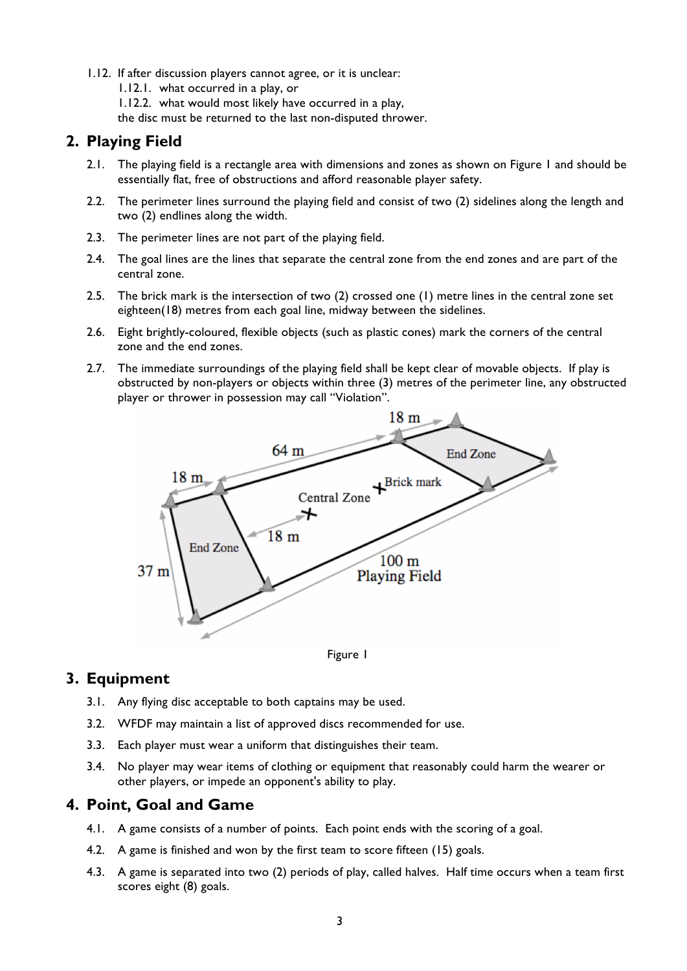- 1.12. If after discussion players cannot agree, or it is unclear:
	- 1.12.1. what occurred in a play, or
	- 1.12.2. what would most likely have occurred in a play,
	- the disc must be returned to the last non-disputed thrower.

## **2. Playing Field**

- 2.1. The playing field is a rectangle area with dimensions and zones as shown on Figure 1 and should be essentially flat, free of obstructions and afford reasonable player safety.
- 2.2. The perimeter lines surround the playing field and consist of two (2) sidelines along the length and two (2) endlines along the width.
- 2.3. The perimeter lines are not part of the playing field.
- 2.4. The goal lines are the lines that separate the central zone from the end zones and are part of the central zone.
- 2.5. The brick mark is the intersection of two (2) crossed one (1) metre lines in the central zone set eighteen(18) metres from each goal line, midway between the sidelines.
- 2.6. Eight brightly-coloured, flexible objects (such as plastic cones) mark the corners of the central zone and the end zones.
- 2.7. The immediate surroundings of the playing field shall be kept clear of movable objects. If play is obstructed by non-players or objects within three (3) metres of the perimeter line, any obstructed player or thrower in possession may call "Violation".





# **3. Equipment**

- 3.1. Any flying disc acceptable to both captains may be used.
- 3.2. WFDF may maintain a list of approved discs recommended for use.
- 3.3. Each player must wear a uniform that distinguishes their team.
- 3.4. No player may wear items of clothing or equipment that reasonably could harm the wearer or other players, or impede an opponent's ability to play.

#### **4. Point, Goal and Game**

- 4.1. A game consists of a number of points. Each point ends with the scoring of a goal.
- 4.2. A game is finished and won by the first team to score fifteen (15) goals.
- 4.3. A game is separated into two (2) periods of play, called halves. Half time occurs when a team first scores eight (8) goals.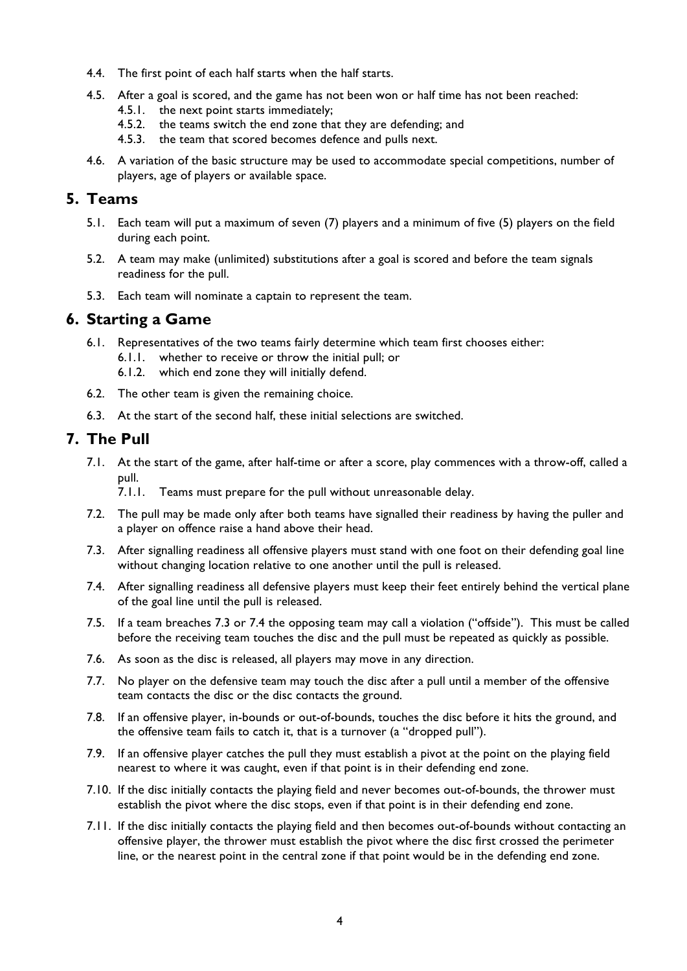- 4.4. The first point of each half starts when the half starts.
- 4.5. After a goal is scored, and the game has not been won or half time has not been reached:
	- 4.5.1. the next point starts immediately;
	- 4.5.2. the teams switch the end zone that they are defending; and
	- 4.5.3. the team that scored becomes defence and pulls next.
- 4.6. A variation of the basic structure may be used to accommodate special competitions, number of players, age of players or available space.

## **5. Teams**

- 5.1. Each team will put a maximum of seven (7) players and a minimum of five (5) players on the field during each point.
- 5.2. A team may make (unlimited) substitutions after a goal is scored and before the team signals readiness for the pull.
- 5.3. Each team will nominate a captain to represent the team.

## **6. Starting a Game**

- 6.1. Representatives of the two teams fairly determine which team first chooses either:
	- 6.1.1. whether to receive or throw the initial pull; or
	- 6.1.2. which end zone they will initially defend.
- 6.2. The other team is given the remaining choice.
- 6.3. At the start of the second half, these initial selections are switched.

## **7. The Pull**

7.1. At the start of the game, after half-time or after a score, play commences with a throw-off, called a pull.

7.1.1. Teams must prepare for the pull without unreasonable delay.

- 7.2. The pull may be made only after both teams have signalled their readiness by having the puller and a player on offence raise a hand above their head.
- 7.3. After signalling readiness all offensive players must stand with one foot on their defending goal line without changing location relative to one another until the pull is released.
- 7.4. After signalling readiness all defensive players must keep their feet entirely behind the vertical plane of the goal line until the pull is released.
- 7.5. If a team breaches 7.3 or 7.4 the opposing team may call a violation ("offside"). This must be called before the receiving team touches the disc and the pull must be repeated as quickly as possible.
- 7.6. As soon as the disc is released, all players may move in any direction.
- 7.7. No player on the defensive team may touch the disc after a pull until a member of the offensive team contacts the disc or the disc contacts the ground.
- 7.8. If an offensive player, in-bounds or out-of-bounds, touches the disc before it hits the ground, and the offensive team fails to catch it, that is a turnover (a "dropped pull").
- 7.9. If an offensive player catches the pull they must establish a pivot at the point on the playing field nearest to where it was caught, even if that point is in their defending end zone.
- 7.10. If the disc initially contacts the playing field and never becomes out-of-bounds, the thrower must establish the pivot where the disc stops, even if that point is in their defending end zone.
- 7.11. If the disc initially contacts the playing field and then becomes out-of-bounds without contacting an offensive player, the thrower must establish the pivot where the disc first crossed the perimeter line, or the nearest point in the central zone if that point would be in the defending end zone.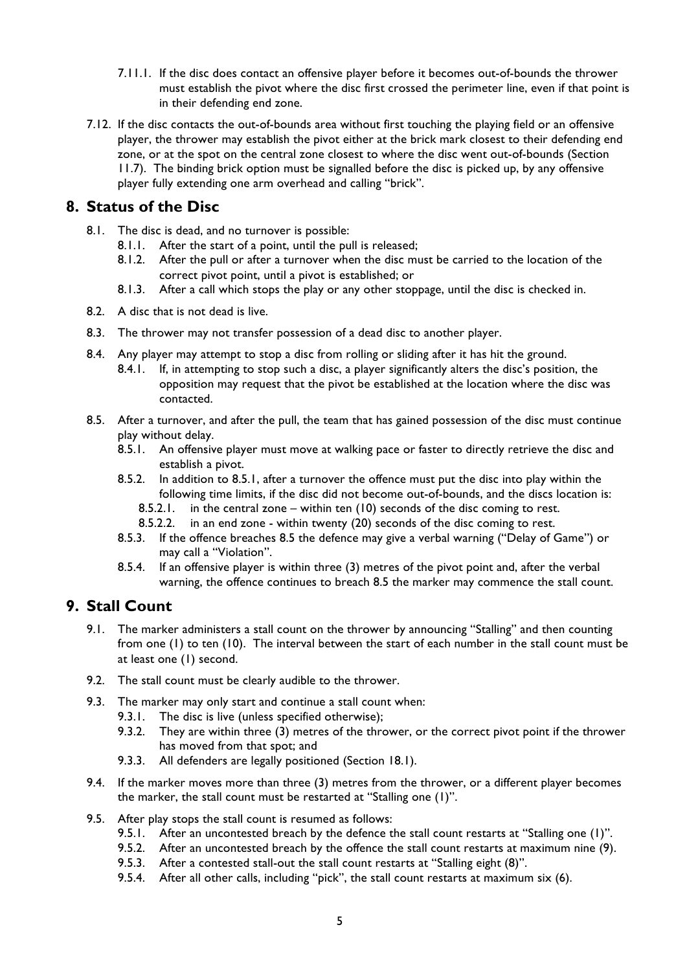- 7.11.1. If the disc does contact an offensive player before it becomes out-of-bounds the thrower must establish the pivot where the disc first crossed the perimeter line, even if that point is in their defending end zone.
- 7.12. If the disc contacts the out-of-bounds area without first touching the playing field or an offensive player, the thrower may establish the pivot either at the brick mark closest to their defending end zone, or at the spot on the central zone closest to where the disc went out-of-bounds (Section 11.7). The binding brick option must be signalled before the disc is picked up, by any offensive player fully extending one arm overhead and calling "brick".

## **8. Status of the Disc**

- 8.1. The disc is dead, and no turnover is possible:
	- 8.1.1. After the start of a point, until the pull is released;
	- 8.1.2. After the pull or after a turnover when the disc must be carried to the location of the correct pivot point, until a pivot is established; or
	- 8.1.3. After a call which stops the play or any other stoppage, until the disc is checked in.
- 8.2. A disc that is not dead is live.
- 8.3. The thrower may not transfer possession of a dead disc to another player.
- 8.4. Any player may attempt to stop a disc from rolling or sliding after it has hit the ground.
	- 8.4.1. If, in attempting to stop such a disc, a player significantly alters the disc's position, the opposition may request that the pivot be established at the location where the disc was contacted.
- 8.5. After a turnover, and after the pull, the team that has gained possession of the disc must continue play without delay.
	- 8.5.1. An offensive player must move at walking pace or faster to directly retrieve the disc and establish a pivot.
	- 8.5.2. In addition to 8.5.1, after a turnover the offence must put the disc into play within the following time limits, if the disc did not become out-of-bounds, and the discs location is:
		- 8.5.2.1. in the central zone within ten (10) seconds of the disc coming to rest.
		- 8.5.2.2. in an end zone within twenty (20) seconds of the disc coming to rest.
	- 8.5.3. If the offence breaches 8.5 the defence may give a verbal warning ("Delay of Game") or may call a "Violation".
	- 8.5.4. If an offensive player is within three (3) metres of the pivot point and, after the verbal warning, the offence continues to breach 8.5 the marker may commence the stall count.

# **9. Stall Count**

- 9.1. The marker administers a stall count on the thrower by announcing "Stalling" and then counting from one (1) to ten (10). The interval between the start of each number in the stall count must be at least one (1) second.
- 9.2. The stall count must be clearly audible to the thrower.
- 9.3. The marker may only start and continue a stall count when:
	- 9.3.1. The disc is live (unless specified otherwise);
	- 9.3.2. They are within three (3) metres of the thrower, or the correct pivot point if the thrower has moved from that spot; and
	- 9.3.3. All defenders are legally positioned (Section 18.1).
- 9.4. If the marker moves more than three (3) metres from the thrower, or a different player becomes the marker, the stall count must be restarted at "Stalling one (1)".
- 9.5. After play stops the stall count is resumed as follows:
	- 9.5.1. After an uncontested breach by the defence the stall count restarts at "Stalling one (1)".
	- 9.5.2. After an uncontested breach by the offence the stall count restarts at maximum nine (9).
	- 9.5.3. After a contested stall-out the stall count restarts at "Stalling eight (8)".
	- 9.5.4. After all other calls, including "pick", the stall count restarts at maximum six (6).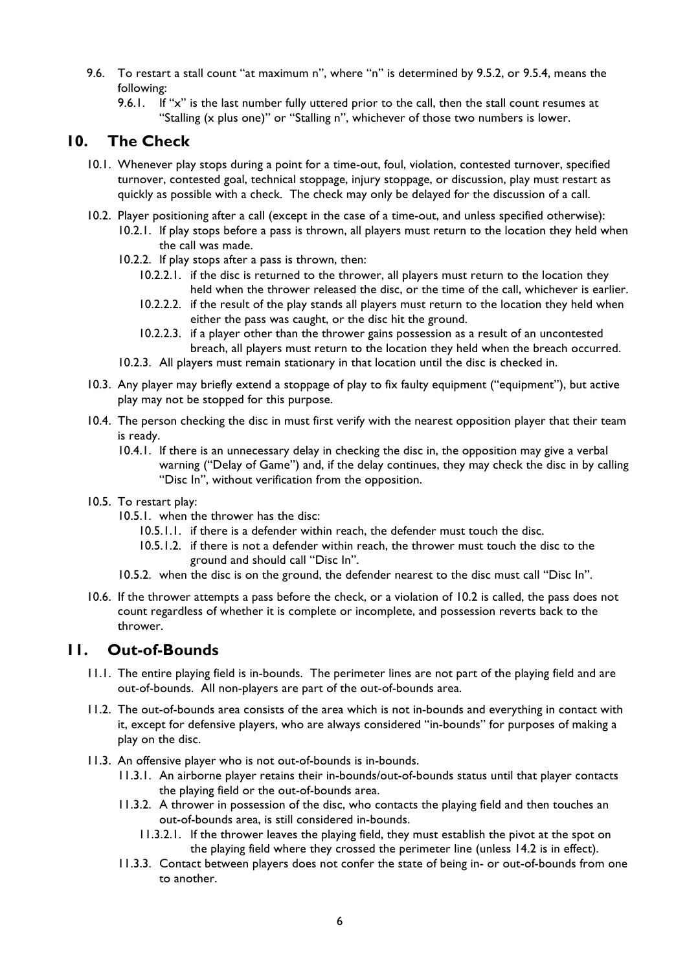- 9.6. To restart a stall count "at maximum n", where "n" is determined by 9.5.2, or 9.5.4, means the following:
	- 9.6.1. If "x" is the last number fully uttered prior to the call, then the stall count resumes at "Stalling (x plus one)" or "Stalling n", whichever of those two numbers is lower.

# **10. The Check**

- 10.1. Whenever play stops during a point for a time-out, foul, violation, contested turnover, specified turnover, contested goal, technical stoppage, injury stoppage, or discussion, play must restart as quickly as possible with a check. The check may only be delayed for the discussion of a call.
- 10.2. Player positioning after a call (except in the case of a time-out, and unless specified otherwise): 10.2.1. If play stops before a pass is thrown, all players must return to the location they held when the call was made.
	- 10.2.2. If play stops after a pass is thrown, then:
		- 10.2.2.1. if the disc is returned to the thrower, all players must return to the location they held when the thrower released the disc, or the time of the call, whichever is earlier.
		- 10.2.2.2. if the result of the play stands all players must return to the location they held when either the pass was caught, or the disc hit the ground.
		- 10.2.2.3. if a player other than the thrower gains possession as a result of an uncontested breach, all players must return to the location they held when the breach occurred.
	- 10.2.3. All players must remain stationary in that location until the disc is checked in.
- 10.3. Any player may briefly extend a stoppage of play to fix faulty equipment ("equipment"), but active play may not be stopped for this purpose.
- 10.4. The person checking the disc in must first verify with the nearest opposition player that their team is ready.
	- 10.4.1. If there is an unnecessary delay in checking the disc in, the opposition may give a verbal warning ("Delay of Game") and, if the delay continues, they may check the disc in by calling "Disc In", without verification from the opposition.
- 10.5. To restart play:
	- 10.5.1. when the thrower has the disc:
		- 10.5.1.1. if there is a defender within reach, the defender must touch the disc.
		- 10.5.1.2. if there is not a defender within reach, the thrower must touch the disc to the ground and should call "Disc In".
	- 10.5.2. when the disc is on the ground, the defender nearest to the disc must call "Disc In".
- 10.6. If the thrower attempts a pass before the check, or a violation of 10.2 is called, the pass does not count regardless of whether it is complete or incomplete, and possession reverts back to the thrower.

## **11. Out-of-Bounds**

- 11.1. The entire playing field is in-bounds. The perimeter lines are not part of the playing field and are out-of-bounds. All non-players are part of the out-of-bounds area.
- 11.2. The out-of-bounds area consists of the area which is not in-bounds and everything in contact with it, except for defensive players, who are always considered "in-bounds" for purposes of making a play on the disc.
- 11.3. An offensive player who is not out-of-bounds is in-bounds.
	- 11.3.1. An airborne player retains their in-bounds/out-of-bounds status until that player contacts the playing field or the out-of-bounds area.
	- 11.3.2. A thrower in possession of the disc, who contacts the playing field and then touches an out-of-bounds area, is still considered in-bounds.
		- 11.3.2.1. If the thrower leaves the playing field, they must establish the pivot at the spot on the playing field where they crossed the perimeter line (unless 14.2 is in effect).
	- 11.3.3. Contact between players does not confer the state of being in- or out-of-bounds from one to another.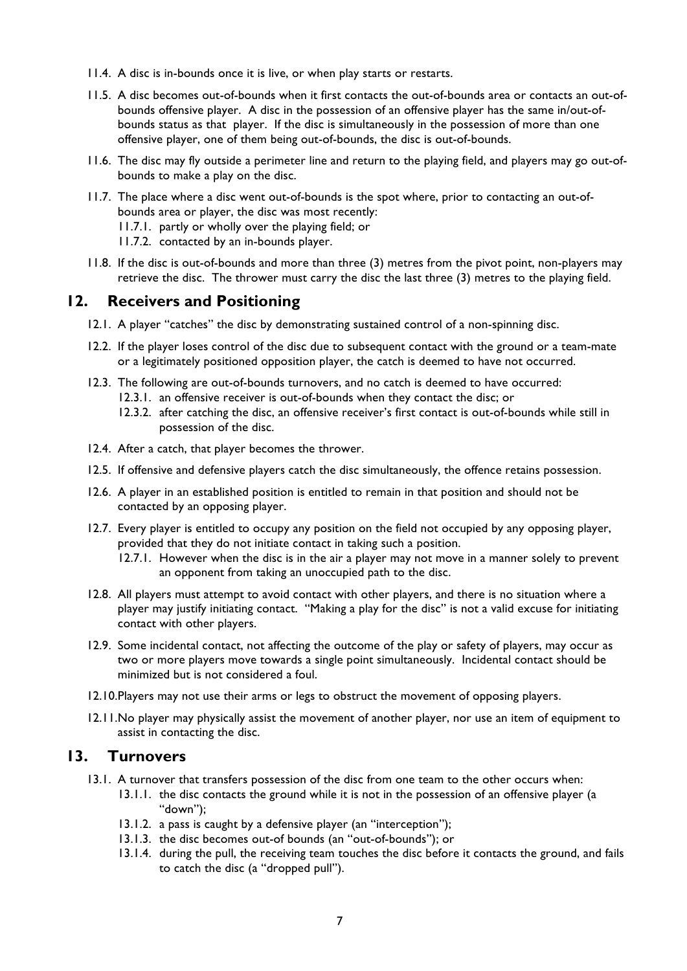- 11.4. A disc is in-bounds once it is live, or when play starts or restarts.
- 11.5. A disc becomes out-of-bounds when it first contacts the out-of-bounds area or contacts an out-ofbounds offensive player. A disc in the possession of an offensive player has the same in/out-ofbounds status as that player. If the disc is simultaneously in the possession of more than one offensive player, one of them being out-of-bounds, the disc is out-of-bounds.
- 11.6. The disc may fly outside a perimeter line and return to the playing field, and players may go out-ofbounds to make a play on the disc.
- 11.7. The place where a disc went out-of-bounds is the spot where, prior to contacting an out-ofbounds area or player, the disc was most recently:
	- 11.7.1. partly or wholly over the playing field; or
	- 11.7.2. contacted by an in-bounds player.
- 11.8. If the disc is out-of-bounds and more than three (3) metres from the pivot point, non-players may retrieve the disc. The thrower must carry the disc the last three (3) metres to the playing field.

#### **12. Receivers and Positioning**

- 12.1. A player "catches" the disc by demonstrating sustained control of a non-spinning disc.
- 12.2. If the player loses control of the disc due to subsequent contact with the ground or a team-mate or a legitimately positioned opposition player, the catch is deemed to have not occurred.
- 12.3. The following are out-of-bounds turnovers, and no catch is deemed to have occurred: 12.3.1. an offensive receiver is out-of-bounds when they contact the disc; or
	- 12.3.2. after catching the disc, an offensive receiver's first contact is out-of-bounds while still in possession of the disc.
- 12.4. After a catch, that player becomes the thrower.
- 12.5. If offensive and defensive players catch the disc simultaneously, the offence retains possession.
- 12.6. A player in an established position is entitled to remain in that position and should not be contacted by an opposing player.
- 12.7. Every player is entitled to occupy any position on the field not occupied by any opposing player, provided that they do not initiate contact in taking such a position.
	- 12.7.1. However when the disc is in the air a player may not move in a manner solely to prevent an opponent from taking an unoccupied path to the disc.
- 12.8. All players must attempt to avoid contact with other players, and there is no situation where a player may justify initiating contact. "Making a play for the disc" is not a valid excuse for initiating contact with other players.
- 12.9. Some incidental contact, not affecting the outcome of the play or safety of players, may occur as two or more players move towards a single point simultaneously. Incidental contact should be minimized but is not considered a foul.
- 12.10.Players may not use their arms or legs to obstruct the movement of opposing players.
- 12.11.No player may physically assist the movement of another player, nor use an item of equipment to assist in contacting the disc.

#### **13. Turnovers**

- 13.1. A turnover that transfers possession of the disc from one team to the other occurs when:
	- 13.1.1. the disc contacts the ground while it is not in the possession of an offensive player (a "down");
	- 13.1.2. a pass is caught by a defensive player (an "interception");
	- 13.1.3. the disc becomes out-of bounds (an "out-of-bounds"); or
	- 13.1.4. during the pull, the receiving team touches the disc before it contacts the ground, and fails to catch the disc (a "dropped pull").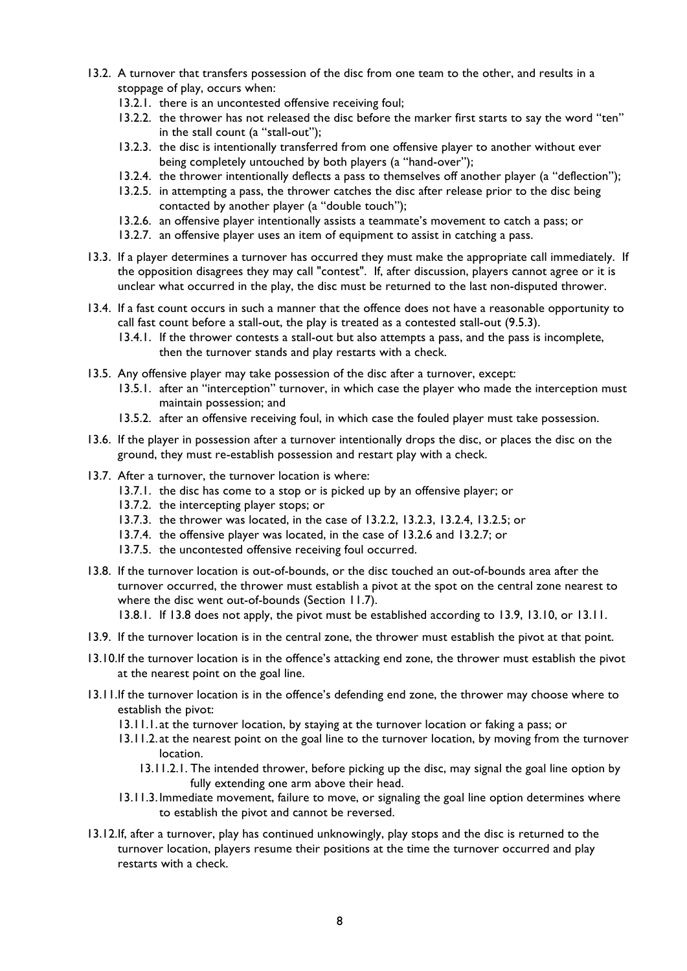- 13.2. A turnover that transfers possession of the disc from one team to the other, and results in a stoppage of play, occurs when:
	- 13.2.1. there is an uncontested offensive receiving foul;
	- 13.2.2. the thrower has not released the disc before the marker first starts to say the word "ten" in the stall count (a "stall-out");
	- 13.2.3. the disc is intentionally transferred from one offensive player to another without ever being completely untouched by both players (a "hand-over");
	- 13.2.4. the thrower intentionally deflects a pass to themselves off another player (a "deflection");
	- 13.2.5. in attempting a pass, the thrower catches the disc after release prior to the disc being contacted by another player (a "double touch");
	- 13.2.6. an offensive player intentionally assists a teammate's movement to catch a pass; or
	- 13.2.7. an offensive player uses an item of equipment to assist in catching a pass.
- 13.3. If a player determines a turnover has occurred they must make the appropriate call immediately. If the opposition disagrees they may call "contest". If, after discussion, players cannot agree or it is unclear what occurred in the play, the disc must be returned to the last non-disputed thrower.
- 13.4. If a fast count occurs in such a manner that the offence does not have a reasonable opportunity to call fast count before a stall-out, the play is treated as a contested stall-out (9.5.3).
	- 13.4.1. If the thrower contests a stall-out but also attempts a pass, and the pass is incomplete, then the turnover stands and play restarts with a check.
- 13.5. Any offensive player may take possession of the disc after a turnover, except:
	- 13.5.1. after an "interception" turnover, in which case the player who made the interception must maintain possession; and
	- 13.5.2. after an offensive receiving foul, in which case the fouled player must take possession.
- 13.6. If the player in possession after a turnover intentionally drops the disc, or places the disc on the ground, they must re-establish possession and restart play with a check.
- 13.7. After a turnover, the turnover location is where:
	- 13.7.1. the disc has come to a stop or is picked up by an offensive player; or
	- 13.7.2. the intercepting player stops; or
	- 13.7.3. the thrower was located, in the case of 13.2.2, 13.2.3, 13.2.4, 13.2.5; or
	- 13.7.4. the offensive player was located, in the case of 13.2.6 and 13.2.7; or
	- 13.7.5. the uncontested offensive receiving foul occurred.
- 13.8. If the turnover location is out-of-bounds, or the disc touched an out-of-bounds area after the turnover occurred, the thrower must establish a pivot at the spot on the central zone nearest to where the disc went out-of-bounds (Section 11.7). 13.8.1. If 13.8 does not apply, the pivot must be established according to 13.9, 13.10, or 13.11.

- 13.9. If the turnover location is in the central zone, the thrower must establish the pivot at that point.
- 13.10.If the turnover location is in the offence's attacking end zone, the thrower must establish the pivot at the nearest point on the goal line.
- 13.11.If the turnover location is in the offence's defending end zone, the thrower may choose where to establish the pivot:
	- 13.11.1. at the turnover location, by staying at the turnover location or faking a pass; or
	- 13.11.2. at the nearest point on the goal line to the turnover location, by moving from the turnover location.
		- 13.11.2.1. The intended thrower, before picking up the disc, may signal the goal line option by fully extending one arm above their head.
	- 13.11.3.Immediate movement, failure to move, or signaling the goal line option determines where to establish the pivot and cannot be reversed.
- 13.12.If, after a turnover, play has continued unknowingly, play stops and the disc is returned to the turnover location, players resume their positions at the time the turnover occurred and play restarts with a check.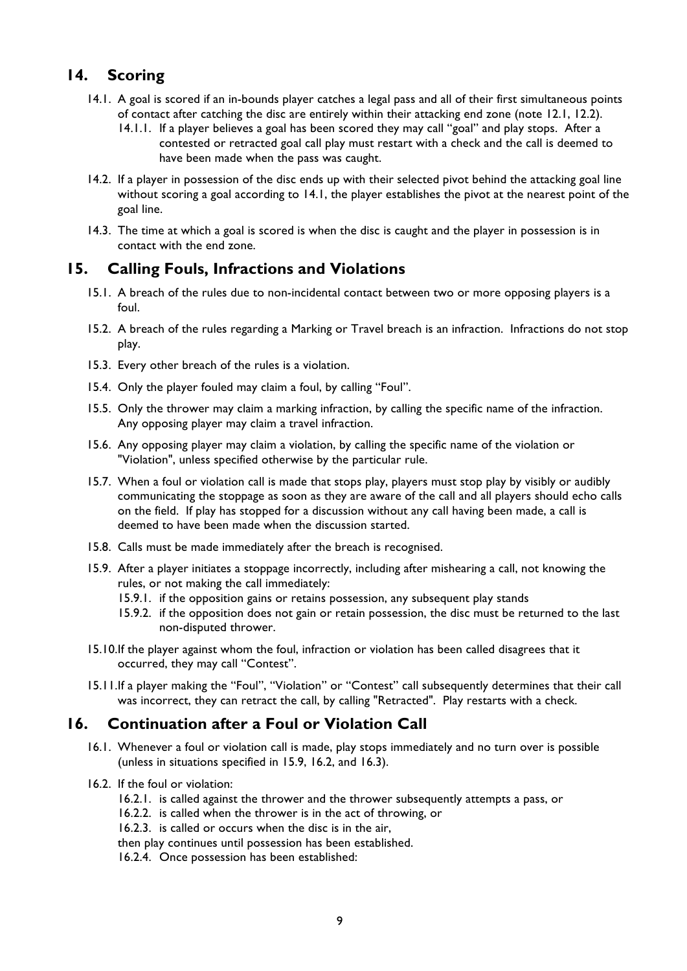# **14. Scoring**

- 14.1. A goal is scored if an in-bounds player catches a legal pass and all of their first simultaneous points of contact after catching the disc are entirely within their attacking end zone (note 12.1, 12.2).
	- 14.1.1. If a player believes a goal has been scored they may call "goal" and play stops. After a contested or retracted goal call play must restart with a check and the call is deemed to have been made when the pass was caught.
- 14.2. If a player in possession of the disc ends up with their selected pivot behind the attacking goal line without scoring a goal according to 14.1, the player establishes the pivot at the nearest point of the goal line.
- 14.3. The time at which a goal is scored is when the disc is caught and the player in possession is in contact with the end zone.

## **15. Calling Fouls, Infractions and Violations**

- 15.1. A breach of the rules due to non-incidental contact between two or more opposing players is a foul.
- 15.2. A breach of the rules regarding a Marking or Travel breach is an infraction. Infractions do not stop play.
- 15.3. Every other breach of the rules is a violation.
- 15.4. Only the player fouled may claim a foul, by calling "Foul".
- 15.5. Only the thrower may claim a marking infraction, by calling the specific name of the infraction. Any opposing player may claim a travel infraction.
- 15.6. Any opposing player may claim a violation, by calling the specific name of the violation or "Violation", unless specified otherwise by the particular rule.
- 15.7. When a foul or violation call is made that stops play, players must stop play by visibly or audibly communicating the stoppage as soon as they are aware of the call and all players should echo calls on the field. If play has stopped for a discussion without any call having been made, a call is deemed to have been made when the discussion started.
- 15.8. Calls must be made immediately after the breach is recognised.
- 15.9. After a player initiates a stoppage incorrectly, including after mishearing a call, not knowing the rules, or not making the call immediately:
	- 15.9.1. if the opposition gains or retains possession, any subsequent play stands
	- 15.9.2. if the opposition does not gain or retain possession, the disc must be returned to the last non-disputed thrower.
- 15.10.If the player against whom the foul, infraction or violation has been called disagrees that it occurred, they may call "Contest".
- 15.11.If a player making the "Foul", "Violation" or "Contest" call subsequently determines that their call was incorrect, they can retract the call, by calling "Retracted". Play restarts with a check.

#### **16. Continuation after a Foul or Violation Call**

- 16.1. Whenever a foul or violation call is made, play stops immediately and no turn over is possible (unless in situations specified in 15.9, 16.2, and 16.3).
- 16.2. If the foul or violation:
	- 16.2.1. is called against the thrower and the thrower subsequently attempts a pass, or
	- 16.2.2. is called when the thrower is in the act of throwing, or
	- 16.2.3. is called or occurs when the disc is in the air,
	- then play continues until possession has been established.
	- 16.2.4. Once possession has been established: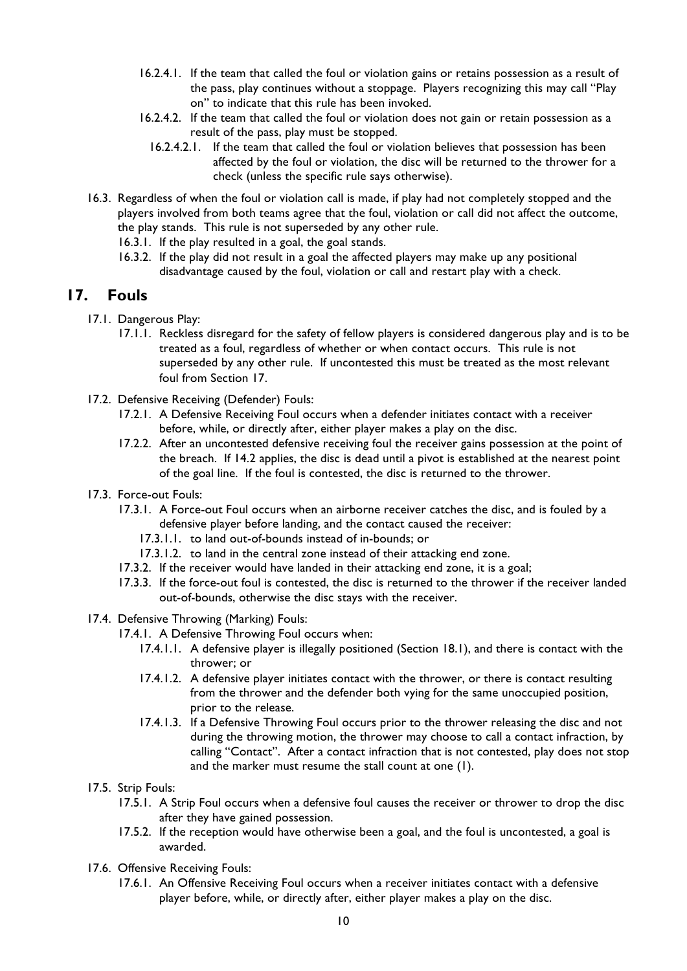- 16.2.4.1. If the team that called the foul or violation gains or retains possession as a result of the pass, play continues without a stoppage. Players recognizing this may call "Play on" to indicate that this rule has been invoked.
- 16.2.4.2. If the team that called the foul or violation does not gain or retain possession as a result of the pass, play must be stopped.
	- 16.2.4.2.1. If the team that called the foul or violation believes that possession has been affected by the foul or violation, the disc will be returned to the thrower for a check (unless the specific rule says otherwise).
- 16.3. Regardless of when the foul or violation call is made, if play had not completely stopped and the players involved from both teams agree that the foul, violation or call did not affect the outcome, the play stands. This rule is not superseded by any other rule.
	- 16.3.1. If the play resulted in a goal, the goal stands.
	- 16.3.2. If the play did not result in a goal the affected players may make up any positional disadvantage caused by the foul, violation or call and restart play with a check.

## **17. Fouls**

- 17.1. Dangerous Play:
	- 17.1.1. Reckless disregard for the safety of fellow players is considered dangerous play and is to be treated as a foul, regardless of whether or when contact occurs. This rule is not superseded by any other rule. If uncontested this must be treated as the most relevant foul from Section 17.
- 17.2. Defensive Receiving (Defender) Fouls:
	- 17.2.1. A Defensive Receiving Foul occurs when a defender initiates contact with a receiver before, while, or directly after, either player makes a play on the disc.
	- 17.2.2. After an uncontested defensive receiving foul the receiver gains possession at the point of the breach. If 14.2 applies, the disc is dead until a pivot is established at the nearest point of the goal line. If the foul is contested, the disc is returned to the thrower.
- 17.3. Force-out Fouls:
	- 17.3.1. A Force-out Foul occurs when an airborne receiver catches the disc, and is fouled by a defensive player before landing, and the contact caused the receiver:
		- 17.3.1.1. to land out-of-bounds instead of in-bounds; or
		- 17.3.1.2. to land in the central zone instead of their attacking end zone.
	- 17.3.2. If the receiver would have landed in their attacking end zone, it is a goal;
	- 17.3.3. If the force-out foul is contested, the disc is returned to the thrower if the receiver landed out-of-bounds, otherwise the disc stays with the receiver.
- 17.4. Defensive Throwing (Marking) Fouls:
	- 17.4.1. A Defensive Throwing Foul occurs when:
		- 17.4.1.1. A defensive player is illegally positioned (Section 18.1), and there is contact with the thrower; or
		- 17.4.1.2. A defensive player initiates contact with the thrower, or there is contact resulting from the thrower and the defender both vying for the same unoccupied position, prior to the release.
		- 17.4.1.3. If a Defensive Throwing Foul occurs prior to the thrower releasing the disc and not during the throwing motion, the thrower may choose to call a contact infraction, by calling "Contact". After a contact infraction that is not contested, play does not stop and the marker must resume the stall count at one (1).
- 17.5. Strip Fouls:
	- 17.5.1. A Strip Foul occurs when a defensive foul causes the receiver or thrower to drop the disc after they have gained possession.
	- 17.5.2. If the reception would have otherwise been a goal, and the foul is uncontested, a goal is awarded.
- 17.6. Offensive Receiving Fouls:
	- 17.6.1. An Offensive Receiving Foul occurs when a receiver initiates contact with a defensive player before, while, or directly after, either player makes a play on the disc.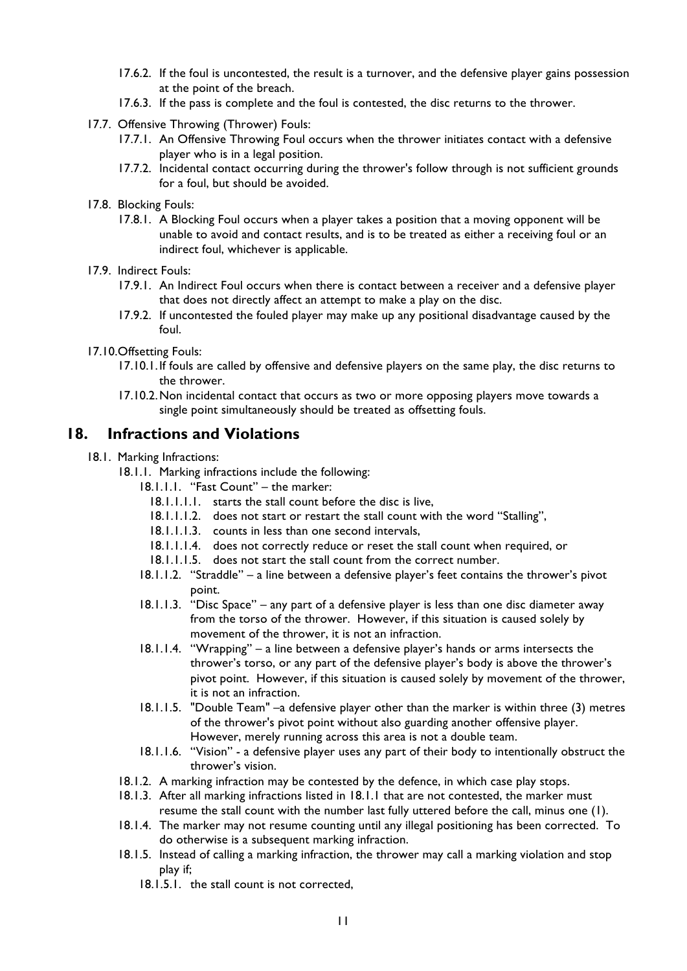- 17.6.2. If the foul is uncontested, the result is a turnover, and the defensive player gains possession at the point of the breach.
- 17.6.3. If the pass is complete and the foul is contested, the disc returns to the thrower.
- 17.7. Offensive Throwing (Thrower) Fouls:
	- 17.7.1. An Offensive Throwing Foul occurs when the thrower initiates contact with a defensive player who is in a legal position.
	- 17.7.2. Incidental contact occurring during the thrower's follow through is not sufficient grounds for a foul, but should be avoided.
- 17.8. Blocking Fouls:
	- 17.8.1. A Blocking Foul occurs when a player takes a position that a moving opponent will be unable to avoid and contact results, and is to be treated as either a receiving foul or an indirect foul, whichever is applicable.
- 17.9. Indirect Fouls:
	- 17.9.1. An Indirect Foul occurs when there is contact between a receiver and a defensive player that does not directly affect an attempt to make a play on the disc.
	- 17.9.2. If uncontested the fouled player may make up any positional disadvantage caused by the foul.
- 17.10.Offsetting Fouls:
	- 17.10.1.If fouls are called by offensive and defensive players on the same play, the disc returns to the thrower.
	- 17.10.2.Non incidental contact that occurs as two or more opposing players move towards a single point simultaneously should be treated as offsetting fouls.

## **18. Infractions and Violations**

- 18.1. Marking Infractions:
	- 18.1.1. Marking infractions include the following:
		- 18.1.1.1. "Fast Count" the marker:
			- 18.1.1.1.1. starts the stall count before the disc is live,
			- 18.1.1.1.2. does not start or restart the stall count with the word "Stalling",
			- 18.1.1.1.3. counts in less than one second intervals,
			- 18.1.1.1.4. does not correctly reduce or reset the stall count when required, or
			- 18.1.1.1.5. does not start the stall count from the correct number.
		- 18.1.1.2. "Straddle" a line between a defensive player's feet contains the thrower's pivot point.
		- 18.1.1.3. "Disc Space" any part of a defensive player is less than one disc diameter away from the torso of the thrower. However, if this situation is caused solely by movement of the thrower, it is not an infraction.
		- 18.1.1.4. "Wrapping" a line between a defensive player's hands or arms intersects the thrower's torso, or any part of the defensive player's body is above the thrower's pivot point. However, if this situation is caused solely by movement of the thrower, it is not an infraction.
		- 18.1.1.5. "Double Team" –a defensive player other than the marker is within three (3) metres of the thrower's pivot point without also guarding another offensive player. However, merely running across this area is not a double team.
		- 18.1.1.6. "Vision" a defensive player uses any part of their body to intentionally obstruct the thrower's vision.
	- 18.1.2. A marking infraction may be contested by the defence, in which case play stops.
	- 18.1.3. After all marking infractions listed in 18.1.1 that are not contested, the marker must resume the stall count with the number last fully uttered before the call, minus one (1).
	- 18.1.4. The marker may not resume counting until any illegal positioning has been corrected. To do otherwise is a subsequent marking infraction.
	- 18.1.5. Instead of calling a marking infraction, the thrower may call a marking violation and stop play if;
		- 18.1.5.1. the stall count is not corrected,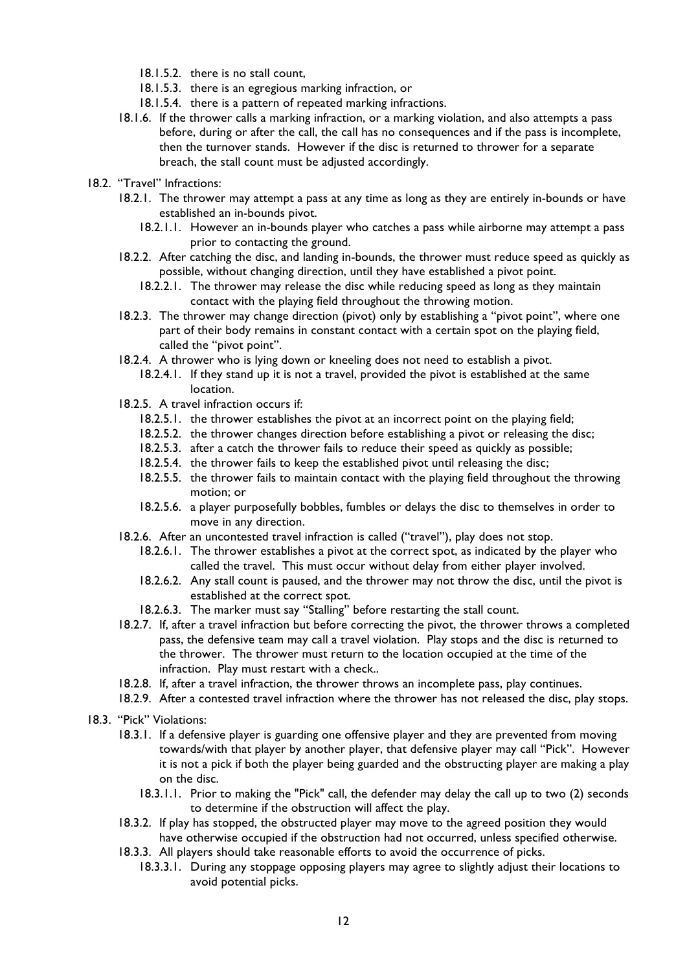- 18.1.5.2. there is no stall count,
- 18.1.5.3. there is an egregious marking infraction, or
- 18.1.5.4. there is a pattern of repeated marking infractions.
- 18.1.6. If the thrower calls a marking infraction, or a marking violation, and also attempts a pass before, during or after the call, the call has no consequences and if the pass is incomplete, then the turnover stands. However if the disc is returned to thrower for a separate breach, the stall count must be adjusted accordingly.
- 18.2. "Travel" Infractions:
	- 18.2.1. The thrower may attempt a pass at any time as long as they are entirely in-bounds or have established an in-bounds pivot.
		- 18.2.1.1. However an in-bounds player who catches a pass while airborne may attempt a pass prior to contacting the ground.
	- 18.2.2. After catching the disc, and landing in-bounds, the thrower must reduce speed as quickly as possible, without changing direction, until they have established a pivot point.
		- 18.2.2.1. The thrower may release the disc while reducing speed as long as they maintain contact with the playing field throughout the throwing motion.
	- 18.2.3. The thrower may change direction (pivot) only by establishing a "pivot point", where one part of their body remains in constant contact with a certain spot on the playing field, called the "pivot point".
	- 18.2.4. A thrower who is lying down or kneeling does not need to establish a pivot.
		- 18.2.4.1. If they stand up it is not a travel, provided the pivot is established at the same location.
	- 18.2.5. A travel infraction occurs if:
		- 18.2.5.1. the thrower establishes the pivot at an incorrect point on the playing field;
		- 18.2.5.2. the thrower changes direction before establishing a pivot or releasing the disc;
		- 18.2.5.3. after a catch the thrower fails to reduce their speed as quickly as possible;
		- 18.2.5.4. the thrower fails to keep the established pivot until releasing the disc;
		- 18.2.5.5. the thrower fails to maintain contact with the playing field throughout the throwing motion; or
		- 18.2.5.6. a player purposefully bobbles, fumbles or delays the disc to themselves in order to move in any direction.
	- 18.2.6. After an uncontested travel infraction is called ("travel"), play does not stop.
		- 18.2.6.1. The thrower establishes a pivot at the correct spot, as indicated by the player who called the travel. This must occur without delay from either player involved.
		- 18.2.6.2. Any stall count is paused, and the thrower may not throw the disc, until the pivot is established at the correct spot.
		- 18.2.6.3. The marker must say "Stalling" before restarting the stall count.
	- 18.2.7. If, after a travel infraction but before correcting the pivot, the thrower throws a completed pass, the defensive team may call a travel violation. Play stops and the disc is returned to the thrower. The thrower must return to the location occupied at the time of the infraction. Play must restart with a check..
	- 18.2.8. If, after a travel infraction, the thrower throws an incomplete pass, play continues.
	- 18.2.9. After a contested travel infraction where the thrower has not released the disc, play stops.
- 18.3. "Pick" Violations:
	- 18.3.1. If a defensive player is guarding one offensive player and they are prevented from moving towards/with that player by another player, that defensive player may call "Pick". However it is not a pick if both the player being guarded and the obstructing player are making a play on the disc.
		- 18.3.1.1. Prior to making the "Pick" call, the defender may delay the call up to two (2) seconds to determine if the obstruction will affect the play.
	- 18.3.2. If play has stopped, the obstructed player may move to the agreed position they would have otherwise occupied if the obstruction had not occurred, unless specified otherwise.
	- 18.3.3. All players should take reasonable efforts to avoid the occurrence of picks.
		- 18.3.3.1. During any stoppage opposing players may agree to slightly adjust their locations to avoid potential picks.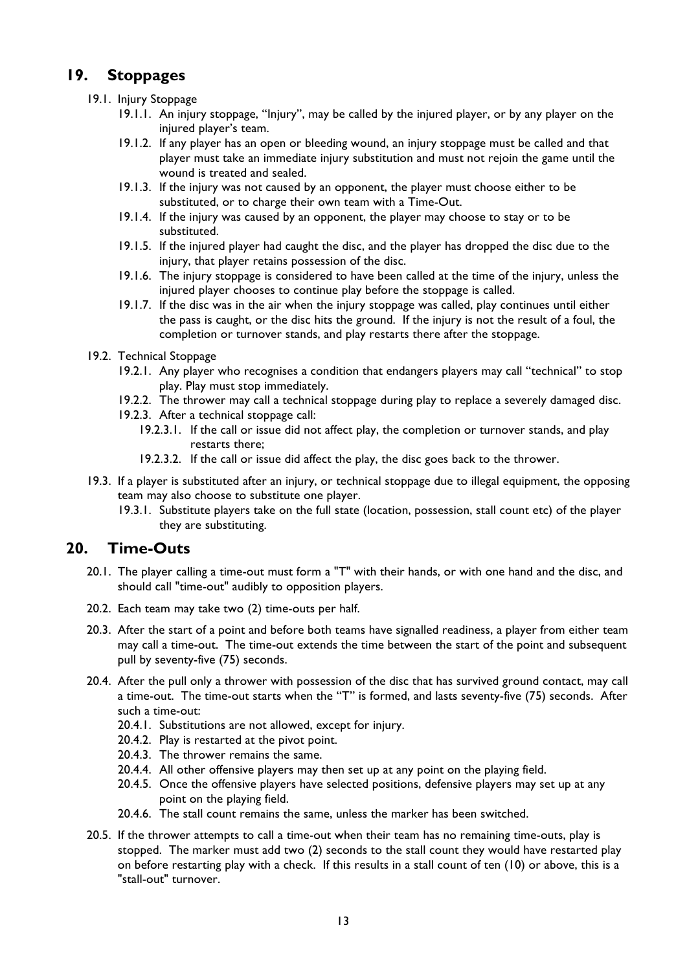# **19. Stoppages**

- 19.1. Injury Stoppage
	- 19.1.1. An injury stoppage, "Injury", may be called by the injured player, or by any player on the injured player's team.
	- 19.1.2. If any player has an open or bleeding wound, an injury stoppage must be called and that player must take an immediate injury substitution and must not rejoin the game until the wound is treated and sealed.
	- 19.1.3. If the injury was not caused by an opponent, the player must choose either to be substituted, or to charge their own team with a Time-Out.
	- 19.1.4. If the injury was caused by an opponent, the player may choose to stay or to be substituted.
	- 19.1.5. If the injured player had caught the disc, and the player has dropped the disc due to the injury, that player retains possession of the disc.
	- 19.1.6. The injury stoppage is considered to have been called at the time of the injury, unless the injured player chooses to continue play before the stoppage is called.
	- 19.1.7. If the disc was in the air when the injury stoppage was called, play continues until either the pass is caught, or the disc hits the ground. If the injury is not the result of a foul, the completion or turnover stands, and play restarts there after the stoppage.
- 19.2. Technical Stoppage
	- 19.2.1. Any player who recognises a condition that endangers players may call "technical" to stop play. Play must stop immediately.
	- 19.2.2. The thrower may call a technical stoppage during play to replace a severely damaged disc.
	- 19.2.3. After a technical stoppage call:
		- 19.2.3.1. If the call or issue did not affect play, the completion or turnover stands, and play restarts there;
		- 19.2.3.2. If the call or issue did affect the play, the disc goes back to the thrower.
- 19.3. If a player is substituted after an injury, or technical stoppage due to illegal equipment, the opposing team may also choose to substitute one player.
	- 19.3.1. Substitute players take on the full state (location, possession, stall count etc) of the player they are substituting.

## **20. Time-Outs**

- 20.1. The player calling a time-out must form a "T" with their hands, or with one hand and the disc, and should call "time-out" audibly to opposition players.
- 20.2. Each team may take two (2) time-outs per half.
- 20.3. After the start of a point and before both teams have signalled readiness, a player from either team may call a time-out. The time-out extends the time between the start of the point and subsequent pull by seventy-five (75) seconds.
- 20.4. After the pull only a thrower with possession of the disc that has survived ground contact, may call a time-out. The time-out starts when the "T" is formed, and lasts seventy-five (75) seconds. After such a time-out:
	- 20.4.1. Substitutions are not allowed, except for injury.
	- 20.4.2. Play is restarted at the pivot point.
	- 20.4.3. The thrower remains the same.
	- 20.4.4. All other offensive players may then set up at any point on the playing field.
	- 20.4.5. Once the offensive players have selected positions, defensive players may set up at any point on the playing field.
	- 20.4.6. The stall count remains the same, unless the marker has been switched.
- 20.5. If the thrower attempts to call a time-out when their team has no remaining time-outs, play is stopped. The marker must add two (2) seconds to the stall count they would have restarted play on before restarting play with a check. If this results in a stall count of ten (10) or above, this is a "stall-out" turnover.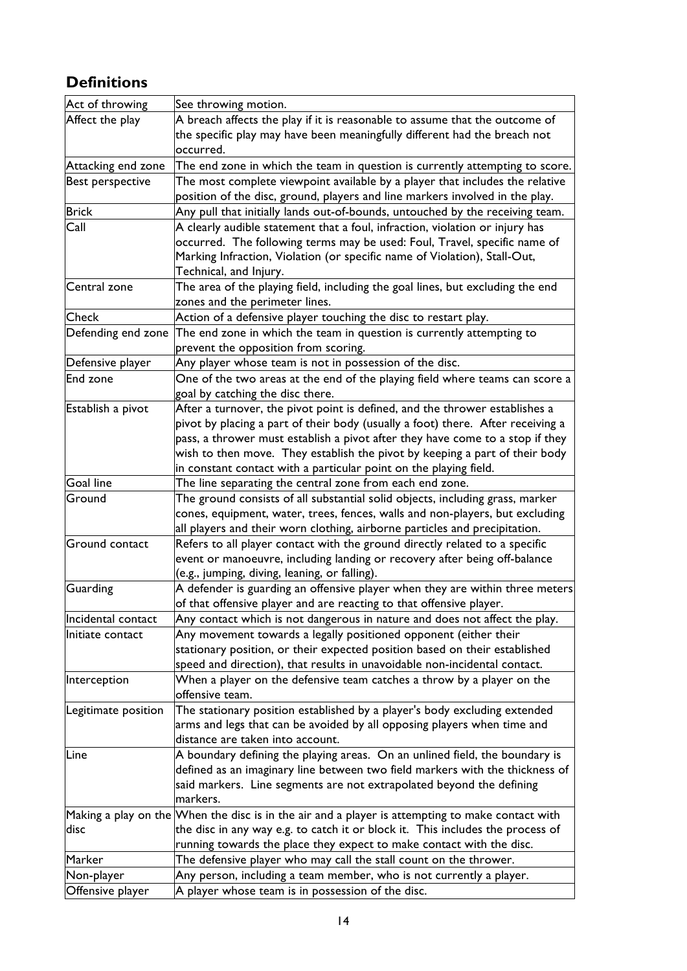# **Definitions**

| Act of throwing     | See throwing motion.                                                                                                                                                                                                                                                                                                                                                                                |
|---------------------|-----------------------------------------------------------------------------------------------------------------------------------------------------------------------------------------------------------------------------------------------------------------------------------------------------------------------------------------------------------------------------------------------------|
| Affect the play     | A breach affects the play if it is reasonable to assume that the outcome of<br>the specific play may have been meaningfully different had the breach not<br>occurred.                                                                                                                                                                                                                               |
| Attacking end zone  | The end zone in which the team in question is currently attempting to score.                                                                                                                                                                                                                                                                                                                        |
| Best perspective    | The most complete viewpoint available by a player that includes the relative<br>position of the disc, ground, players and line markers involved in the play.                                                                                                                                                                                                                                        |
| <b>Brick</b>        | Any pull that initially lands out-of-bounds, untouched by the receiving team.                                                                                                                                                                                                                                                                                                                       |
| Call                | A clearly audible statement that a foul, infraction, violation or injury has<br>occurred. The following terms may be used: Foul, Travel, specific name of<br>Marking Infraction, Violation (or specific name of Violation), Stall-Out,<br>Technical, and Injury.                                                                                                                                    |
| Central zone        | The area of the playing field, including the goal lines, but excluding the end<br>zones and the perimeter lines.                                                                                                                                                                                                                                                                                    |
| <b>Check</b>        | Action of a defensive player touching the disc to restart play.                                                                                                                                                                                                                                                                                                                                     |
| Defending end zone  | The end zone in which the team in question is currently attempting to<br>prevent the opposition from scoring.                                                                                                                                                                                                                                                                                       |
| Defensive player    | Any player whose team is not in possession of the disc.                                                                                                                                                                                                                                                                                                                                             |
| End zone            | One of the two areas at the end of the playing field where teams can score a<br>goal by catching the disc there.                                                                                                                                                                                                                                                                                    |
| Establish a pivot   | After a turnover, the pivot point is defined, and the thrower establishes a<br>pivot by placing a part of their body (usually a foot) there. After receiving a<br>pass, a thrower must establish a pivot after they have come to a stop if they<br>wish to then move. They establish the pivot by keeping a part of their body<br>in constant contact with a particular point on the playing field. |
| <b>Goal line</b>    | The line separating the central zone from each end zone.                                                                                                                                                                                                                                                                                                                                            |
| Ground              | The ground consists of all substantial solid objects, including grass, marker<br>cones, equipment, water, trees, fences, walls and non-players, but excluding<br>all players and their worn clothing, airborne particles and precipitation.                                                                                                                                                         |
| Ground contact      | Refers to all player contact with the ground directly related to a specific<br>event or manoeuvre, including landing or recovery after being off-balance<br>(e.g., jumping, diving, leaning, or falling).                                                                                                                                                                                           |
| <b>Guarding</b>     | A defender is guarding an offensive player when they are within three meters<br>of that offensive player and are reacting to that offensive player.                                                                                                                                                                                                                                                 |
| Incidental contact  | Any contact which is not dangerous in nature and does not affect the play.                                                                                                                                                                                                                                                                                                                          |
| Initiate contact    | Any movement towards a legally positioned opponent (either their<br>stationary position, or their expected position based on their established<br>speed and direction), that results in unavoidable non-incidental contact.                                                                                                                                                                         |
| Interception        | When a player on the defensive team catches a throw by a player on the<br>offensive team.                                                                                                                                                                                                                                                                                                           |
| Legitimate position | The stationary position established by a player's body excluding extended<br>arms and legs that can be avoided by all opposing players when time and<br>distance are taken into account.                                                                                                                                                                                                            |
| Line                | A boundary defining the playing areas. On an unlined field, the boundary is<br>defined as an imaginary line between two field markers with the thickness of<br>said markers. Line segments are not extrapolated beyond the defining<br>markers.                                                                                                                                                     |
| disc                | Making a play on the When the disc is in the air and a player is attempting to make contact with<br>the disc in any way e.g. to catch it or block it. This includes the process of<br>running towards the place they expect to make contact with the disc.                                                                                                                                          |
| Marker              | The defensive player who may call the stall count on the thrower.                                                                                                                                                                                                                                                                                                                                   |
| Non-player          | Any person, including a team member, who is not currently a player.                                                                                                                                                                                                                                                                                                                                 |
| Offensive player    | A player whose team is in possession of the disc.                                                                                                                                                                                                                                                                                                                                                   |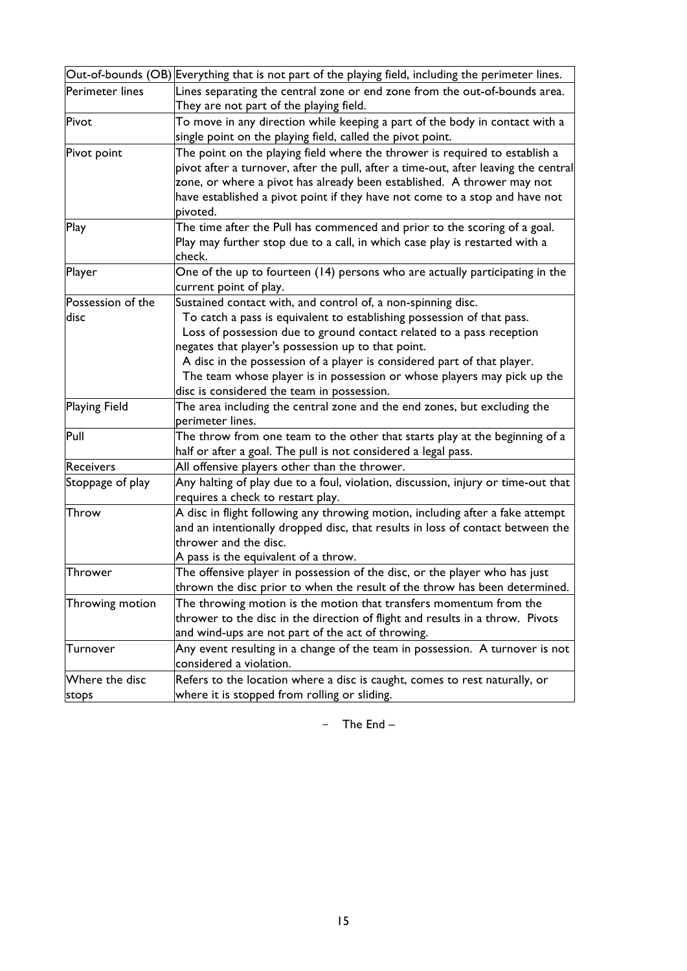| Out-of-bounds (OB) Everything that is not part of the playing field, including the perimeter lines. |                                                                                     |  |  |  |
|-----------------------------------------------------------------------------------------------------|-------------------------------------------------------------------------------------|--|--|--|
| Perimeter lines                                                                                     | Lines separating the central zone or end zone from the out-of-bounds area.          |  |  |  |
|                                                                                                     | They are not part of the playing field.                                             |  |  |  |
| Pivot                                                                                               | To move in any direction while keeping a part of the body in contact with a         |  |  |  |
|                                                                                                     | single point on the playing field, called the pivot point.                          |  |  |  |
| Pivot point                                                                                         | The point on the playing field where the thrower is required to establish a         |  |  |  |
|                                                                                                     | pivot after a turnover, after the pull, after a time-out, after leaving the central |  |  |  |
|                                                                                                     | zone, or where a pivot has already been established. A thrower may not              |  |  |  |
|                                                                                                     | have established a pivot point if they have not come to a stop and have not         |  |  |  |
|                                                                                                     | pivoted.                                                                            |  |  |  |
| Play                                                                                                | The time after the Pull has commenced and prior to the scoring of a goal.           |  |  |  |
|                                                                                                     | Play may further stop due to a call, in which case play is restarted with a         |  |  |  |
|                                                                                                     | check.                                                                              |  |  |  |
| Player                                                                                              | One of the up to fourteen (14) persons who are actually participating in the        |  |  |  |
|                                                                                                     | current point of play.                                                              |  |  |  |
| Possession of the                                                                                   | Sustained contact with, and control of, a non-spinning disc.                        |  |  |  |
| disc                                                                                                | To catch a pass is equivalent to establishing possession of that pass.              |  |  |  |
|                                                                                                     | Loss of possession due to ground contact related to a pass reception                |  |  |  |
|                                                                                                     | negates that player's possession up to that point.                                  |  |  |  |
|                                                                                                     | A disc in the possession of a player is considered part of that player.             |  |  |  |
|                                                                                                     | The team whose player is in possession or whose players may pick up the             |  |  |  |
|                                                                                                     | disc is considered the team in possession.                                          |  |  |  |
| <b>Playing Field</b>                                                                                | The area including the central zone and the end zones, but excluding the            |  |  |  |
|                                                                                                     | perimeter lines.                                                                    |  |  |  |
| Pull                                                                                                | The throw from one team to the other that starts play at the beginning of a         |  |  |  |
|                                                                                                     | half or after a goal. The pull is not considered a legal pass.                      |  |  |  |
| <b>Receivers</b>                                                                                    | All offensive players other than the thrower.                                       |  |  |  |
| Stoppage of play                                                                                    | Any halting of play due to a foul, violation, discussion, injury or time-out that   |  |  |  |
|                                                                                                     | requires a check to restart play.                                                   |  |  |  |
| Throw                                                                                               | A disc in flight following any throwing motion, including after a fake attempt      |  |  |  |
|                                                                                                     | and an intentionally dropped disc, that results in loss of contact between the      |  |  |  |
|                                                                                                     | thrower and the disc.                                                               |  |  |  |
|                                                                                                     | A pass is the equivalent of a throw.                                                |  |  |  |
| Thrower                                                                                             | The offensive player in possession of the disc, or the player who has just          |  |  |  |
|                                                                                                     | thrown the disc prior to when the result of the throw has been determined.          |  |  |  |
| Throwing motion                                                                                     | The throwing motion is the motion that transfers momentum from the                  |  |  |  |
|                                                                                                     | thrower to the disc in the direction of flight and results in a throw. Pivots       |  |  |  |
|                                                                                                     | and wind-ups are not part of the act of throwing.                                   |  |  |  |
| Turnover                                                                                            | Any event resulting in a change of the team in possession. $\,$ turnover is not     |  |  |  |
|                                                                                                     | considered a violation.                                                             |  |  |  |
| Where the disc                                                                                      | Refers to the location where a disc is caught, comes to rest naturally, or          |  |  |  |
| stops                                                                                               | where it is stopped from rolling or sliding.                                        |  |  |  |

- The End –